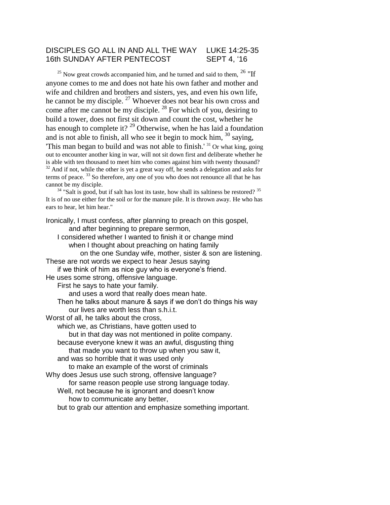# DISCIPLES GO ALL IN AND ALL THE WAY LUKE 14:25-35 16th SUNDAY AFTER PENTECOST SEPT 4, '16

 $^{25}$  Now great crowds accompanied him, and he turned and said to them,  $^{26}$  "If anyone comes to me and does not hate his own father and mother and wife and children and brothers and sisters, yes, and even his own life, he cannot be my disciple. <sup>27</sup> Whoever does not bear his own cross and come after me cannot be my disciple. <sup>28</sup> For which of you, desiring to build a tower, does not first sit down and count the cost, whether he has enough to complete it?<sup>29</sup> Otherwise, when he has laid a foundation and is not able to finish, all who see it begin to mock him,  $30$  saying, 'This man began to build and was not able to finish.' <sup>31</sup> Or what king, going out to encounter another king in war, will not sit down first and deliberate whether he is able with ten thousand to meet him who comes against him with twenty thousand?  $32$  And if not, while the other is yet a great way off, he sends a delegation and asks for terms of peace. <sup>33</sup> So therefore, any one of you who does not renounce all that he has cannot be my disciple.

 $34$  "Salt is good, but if salt has lost its taste, how shall its saltiness be restored?  $35$ It is of no use either for the soil or for the manure pile. It is thrown away. He who has ears to hear, let him hear."

Ironically, I must confess, after planning to preach on this gospel, and after beginning to prepare sermon, I considered whether I wanted to finish it or change mind when I thought about preaching on hating family on the one Sunday wife, mother, sister & son are listening. These are not words we expect to hear Jesus saying if we think of him as nice guy who is everyone's friend. He uses some strong, offensive language. First he says to hate your family. and uses a word that really does mean hate. Then he talks about manure & says if we don't do things his way our lives are worth less than s.h.i.t. Worst of all, he talks about the cross, which we, as Christians, have gotten used to but in that day was not mentioned in polite company. because everyone knew it was an awful, disgusting thing that made you want to throw up when you saw it, and was so horrible that it was used only to make an example of the worst of criminals Why does Jesus use such strong, offensive language? for same reason people use strong language today. Well, not because he is ignorant and doesn't know how to communicate any better, but to grab our attention and emphasize something important.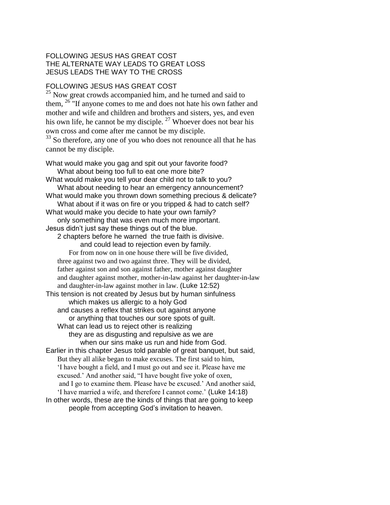#### FOLLOWING JESUS HAS GREAT COST THE ALTERNATE WAY LEADS TO GREAT LOSS JESUS LEADS THE WAY TO THE CROSS

### FOLLOWING JESUS HAS GREAT COST

<sup>25</sup> Now great crowds accompanied him, and he turned and said to them,  $26$  "If anyone comes to me and does not hate his own father and mother and wife and children and brothers and sisters, yes, and even his own life, he cannot be my disciple.  $27$  Whoever does not bear his own cross and come after me cannot be my disciple.

<sup>33</sup> So therefore, any one of you who does not renounce all that he has cannot be my disciple.

What would make you gag and spit out your favorite food? What about being too full to eat one more bite? What would make you tell your dear child not to talk to you? What about needing to hear an emergency announcement? What would make you thrown down something precious & delicate? What about if it was on fire or you tripped & had to catch self? What would make you decide to hate your own family? only something that was even much more important. Jesus didn't just say these things out of the blue. 2 chapters before he warned the true faith is divisive. and could lead to rejection even by family. For from now on in one house there will be five divided, three against two and two against three. They will be divided, father against son and son against father, mother against daughter and daughter against mother, mother-in-law against her daughter-in-law and daughter-in-law against mother in law. (Luke 12:52) This tension is not created by Jesus but by human sinfulness which makes us allergic to a holy God and causes a reflex that strikes out against anyone or anything that touches our sore spots of guilt. What can lead us to reject other is realizing they are as disgusting and repulsive as we are when our sins make us run and hide from God. Earlier in this chapter Jesus told parable of great banquet, but said, But they all alike began to make excuses. The first said to him, 'I have bought a field, and I must go out and see it. Please have me excused.' And another said, "I have bought five yoke of oxen, and I go to examine them. Please have be excused.' And another said, 'I have married a wife, and therefore I cannot come.' (Luke 14:18) In other words, these are the kinds of things that are going to keep people from accepting God's invitation to heaven.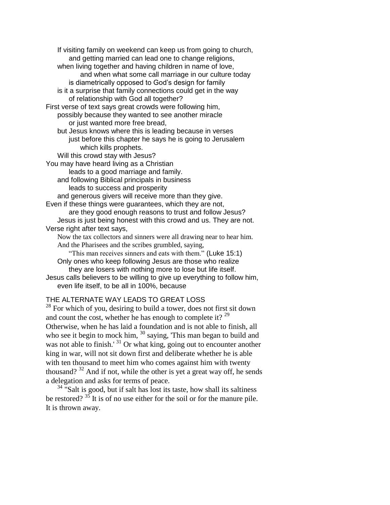If visiting family on weekend can keep us from going to church, and getting married can lead one to change religions, when living together and having children in name of love, and when what some call marriage in our culture today is diametrically opposed to God's design for family is it a surprise that family connections could get in the way of relationship with God all together? First verse of text says great crowds were following him, possibly because they wanted to see another miracle or just wanted more free bread, but Jesus knows where this is leading because in verses just before this chapter he says he is going to Jerusalem which kills prophets. Will this crowd stay with Jesus? You may have heard living as a Christian leads to a good marriage and family. and following Biblical principals in business leads to success and prosperity and generous givers will receive more than they give. Even if these things were guarantees, which they are not, are they good enough reasons to trust and follow Jesus? Jesus is just being honest with this crowd and us. They are not. Verse right after text says, Now the tax collectors and sinners were all drawing near to hear him. And the Pharisees and the scribes grumbled, saying, "This man receives sinners and eats with them." (Luke 15:1) Only ones who keep following Jesus are those who realize they are losers with nothing more to lose but life itself. Jesus calls believers to be willing to give up everything to follow him,

even life itself, to be all in 100%, because

# THE ALTERNATE WAY LEADS TO GREAT LOSS

<sup>28</sup> For which of you, desiring to build a tower, does not first sit down and count the cost, whether he has enough to complete it?  $2^9$ Otherwise, when he has laid a foundation and is not able to finish, all who see it begin to mock him, <sup>30</sup> saying, 'This man began to build and was not able to finish.' <sup>31</sup> Or what king, going out to encounter another king in war, will not sit down first and deliberate whether he is able with ten thousand to meet him who comes against him with twenty thousand?  $32$  And if not, while the other is yet a great way off, he sends a delegation and asks for terms of peace.

 $34$  "Salt is good, but if salt has lost its taste, how shall its saltiness be restored?  $35$  It is of no use either for the soil or for the manure pile. It is thrown away.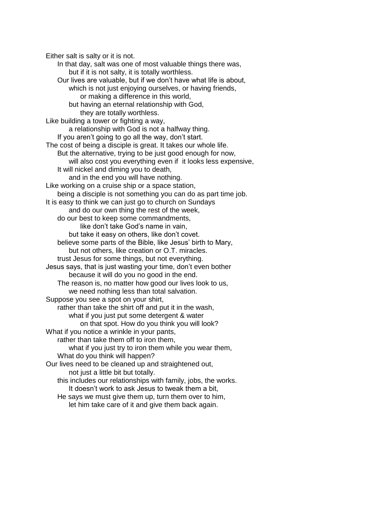Either salt is salty or it is not. In that day, salt was one of most valuable things there was, but if it is not salty, it is totally worthless. Our lives are valuable, but if we don't have what life is about, which is not just enjoying ourselves, or having friends, or making a difference in this world, but having an eternal relationship with God, they are totally worthless. Like building a tower or fighting a way, a relationship with God is not a halfway thing. If you aren't going to go all the way, don't start. The cost of being a disciple is great. It takes our whole life. But the alternative, trying to be just good enough for now, will also cost you everything even if it looks less expensive, It will nickel and diming you to death, and in the end you will have nothing. Like working on a cruise ship or a space station, being a disciple is not something you can do as part time job. It is easy to think we can just go to church on Sundays and do our own thing the rest of the week, do our best to keep some commandments, like don't take God's name in vain, but take it easy on others, like don't covet. believe some parts of the Bible, like Jesus' birth to Mary, but not others, like creation or O.T. miracles. trust Jesus for some things, but not everything. Jesus says, that is just wasting your time, don't even bother because it will do you no good in the end. The reason is, no matter how good our lives look to us, we need nothing less than total salvation. Suppose you see a spot on your shirt, rather than take the shirt off and put it in the wash, what if you just put some detergent & water on that spot. How do you think you will look? What if you notice a wrinkle in your pants, rather than take them off to iron them, what if you just try to iron them while you wear them, What do you think will happen? Our lives need to be cleaned up and straightened out, not just a little bit but totally. this includes our relationships with family, jobs, the works. It doesn't work to ask Jesus to tweak them a bit, He says we must give them up, turn them over to him, let him take care of it and give them back again.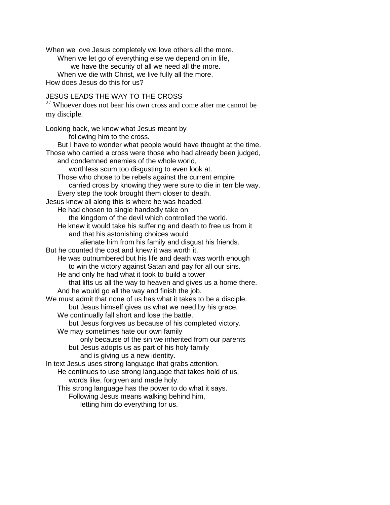When we love Jesus completely we love others all the more. When we let go of everything else we depend on in life, we have the security of all we need all the more. When we die with Christ, we live fully all the more. How does Jesus do this for us?

# JESUS LEADS THE WAY TO THE CROSS

<sup>27</sup> Whoever does not bear his own cross and come after me cannot be my disciple.

Looking back, we know what Jesus meant by following him to the cross. But I have to wonder what people would have thought at the time. Those who carried a cross were those who had already been judged, and condemned enemies of the whole world, worthless scum too disgusting to even look at. Those who chose to be rebels against the current empire carried cross by knowing they were sure to die in terrible way. Every step the took brought them closer to death. Jesus knew all along this is where he was headed. He had chosen to single handedly take on the kingdom of the devil which controlled the world. He knew it would take his suffering and death to free us from it and that his astonishing choices would alienate him from his family and disgust his friends. But he counted the cost and knew it was worth it. He was outnumbered but his life and death was worth enough to win the victory against Satan and pay for all our sins. He and only he had what it took to build a tower that lifts us all the way to heaven and gives us a home there. And he would go all the way and finish the job. We must admit that none of us has what it takes to be a disciple. but Jesus himself gives us what we need by his grace. We continually fall short and lose the battle. but Jesus forgives us because of his completed victory. We may sometimes hate our own family only because of the sin we inherited from our parents but Jesus adopts us as part of his holy family and is giving us a new identity. In text Jesus uses strong language that grabs attention. He continues to use strong language that takes hold of us, words like, forgiven and made holy. This strong language has the power to do what it says. Following Jesus means walking behind him, letting him do everything for us.